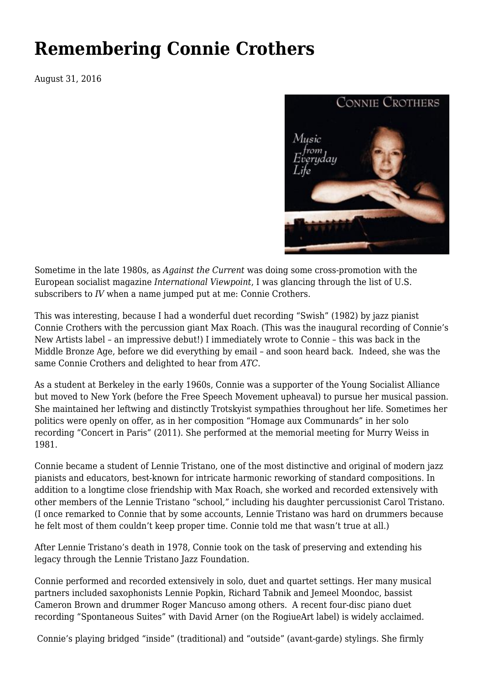## **[Remembering Connie Crothers](https://newpol.org/remembering-connie-crothers/)**

August 31, 2016



Sometime in the late 1980s, as *Against the Current* was doing some cross-promotion with the European socialist magazine *International Viewpoint*, I was glancing through the list of U.S. subscribers to *IV* when a name jumped put at me: Connie Crothers.

This was interesting, because I had a wonderful duet recording "Swish" (1982) by jazz pianist Connie Crothers with the percussion giant Max Roach. (This was the inaugural recording of Connie's New Artists label – an impressive debut!) I immediately wrote to Connie – this was back in the Middle Bronze Age, before we did everything by email – and soon heard back. Indeed, she was the same Connie Crothers and delighted to hear from *ATC*.

As a student at Berkeley in the early 1960s, Connie was a supporter of the Young Socialist Alliance but moved to New York (before the Free Speech Movement upheaval) to pursue her musical passion. She maintained her leftwing and distinctly Trotskyist sympathies throughout her life. Sometimes her politics were openly on offer, as in her composition "Homage aux Communards" in her solo recording "Concert in Paris" (2011). She performed at the memorial meeting for Murry Weiss in 1981.

Connie became a student of Lennie Tristano, one of the most distinctive and original of modern jazz pianists and educators, best-known for intricate harmonic reworking of standard compositions. In addition to a longtime close friendship with Max Roach, she worked and recorded extensively with other members of the Lennie Tristano "school," including his daughter percussionist Carol Tristano. (I once remarked to Connie that by some accounts, Lennie Tristano was hard on drummers because he felt most of them couldn't keep proper time. Connie told me that wasn't true at all.)

After Lennie Tristano's death in 1978, Connie took on the task of preserving and extending his legacy through the Lennie Tristano Jazz Foundation.

Connie performed and recorded extensively in solo, duet and quartet settings. Her many musical partners included saxophonists Lennie Popkin, Richard Tabnik and Jemeel Moondoc, bassist Cameron Brown and drummer Roger Mancuso among others. A recent four-disc piano duet recording "Spontaneous Suites" with David Arner (on the RogiueArt label) is widely acclaimed.

Connie's playing bridged "inside" (traditional) and "outside" (avant-garde) stylings. She firmly